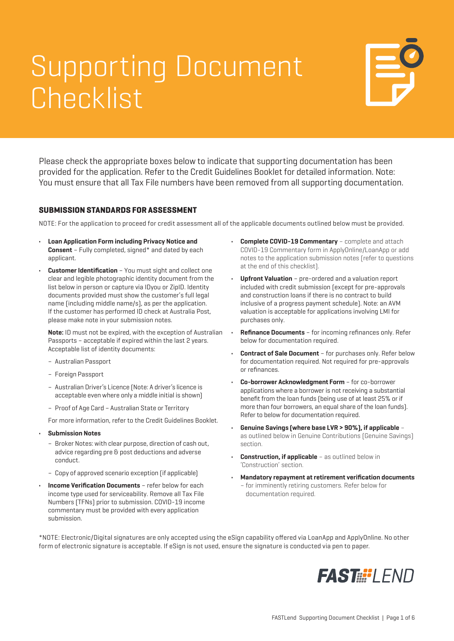## Supporting Document **Checklist**



Please check the appropriate boxes below to indicate that supporting documentation has been provided for the application. Refer to the Credit Guidelines Booklet for detailed information. Note: You must ensure that all Tax File numbers have been removed from all supporting documentation.

### **SUBMISSION STANDARDS FOR ASSESSMENT**

NOTE: For the application to proceed for credit assessment all of the applicable documents outlined below must be provided.

- **• Loan Application Form including Privacy Notice and Consent** – Fully completed, signed\* and dated by each applicant.
- **• Customer Identification** You must sight and collect one clear and legible photographic identity document from the list below in person or capture via IDyou or ZipID. Identity documents provided must show the customer's full legal name (including middle name/s), as per the application. If the customer has performed ID check at Australia Post, please make note in your submission notes.

**Note:** ID must not be expired, with the exception of Australian Passports – acceptable if expired within the last 2 years. Acceptable list of identity documents:

- Australian Passport
- Foreign Passport
- Australian Driver's Licence (Note: A driver's licence is acceptable even where only a middle initial is shown)
- Proof of Age Card Australian State or Territory

For more information, refer to the Credit Guidelines Booklet.

- **• Submission Notes**
	- Broker Notes: with clear purpose, direction of cash out, advice regarding pre & post deductions and adverse conduct.
	- Copy of approved scenario exception (if applicable)
- **• Income Verification Documents** refer below for each income type used for serviceability. Remove all Tax File Numbers (TFNs) prior to submission. COVID-19 income commentary must be provided with every application submission.
- **• Complete COVID-19 Commentary** complete and attach COVID-19 Commentary form in ApplyOnline/LoanApp or add notes to the application submission notes (refer to questions at the end of this checklist).
- **• Upfront Valuation** pre-ordered and a valuation report included with credit submission (except for pre-approvals and construction loans if there is no contract to build inclusive of a progress payment schedule). Note: an AVM valuation is acceptable for applications involving LMI for purchases only.
- **• Refinance Documents** for incoming refinances only. Refer below for documentation required.
- **• Contract of Sale Document** for purchases only. Refer below for documentation required. Not required for pre-approvals or refinances.
- **• Co-borrower Acknowledgment Form** for co-borrower applications where a borrower is not receiving a substantial benefit from the loan funds (being use of at least 25% or if more than four borrowers, an equal share of the loan funds). Refer to below for documentation required.
- **• Genuine Savings (where base LVR > 90%), if applicable** as outlined below in Genuine Contributions (Genuine Savings) section.
- **Construction, if applicable** as outlined below in 'Construction' section.
- **• Mandatory repayment at retirement verification documents** – for imminently retiring customers. Refer below for documentation required.

\*NOTE: Electronic/Digital signatures are only accepted using the eSign capability offered via LoanApp and ApplyOnline. No other form of electronic signature is acceptable. If eSign is not used, ensure the signature is conducted via pen to paper.

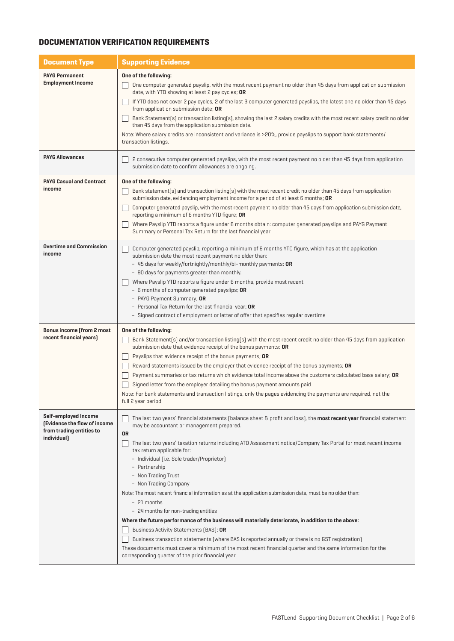### **DOCUMENTATION VERIFICATION REQUIREMENTS**

| <b>Document Type</b>                                                                            | <b>Supporting Evidence</b>                                                                                                                                                                                                                                                                                                                                                                                                                                                                                                                                                                                                                                                                                                                                                                                                                                                                                                                                                                                                                        |  |  |
|-------------------------------------------------------------------------------------------------|---------------------------------------------------------------------------------------------------------------------------------------------------------------------------------------------------------------------------------------------------------------------------------------------------------------------------------------------------------------------------------------------------------------------------------------------------------------------------------------------------------------------------------------------------------------------------------------------------------------------------------------------------------------------------------------------------------------------------------------------------------------------------------------------------------------------------------------------------------------------------------------------------------------------------------------------------------------------------------------------------------------------------------------------------|--|--|
| <b>PAYG Permanent</b><br><b>Employment Income</b>                                               | One of the following:<br>One computer generated payslip, with the most recent payment no older than 45 days from application submission<br>date, with YTD showing at least 2 pay cycles; OR<br>If YTD does not cover 2 pay cycles, 2 of the last 3 computer generated payslips, the latest one no older than 45 days<br>from application submission date; OR<br>Bank Statement(s) or transaction listing(s), showing the last 2 salary credits with the most recent salary credit no older<br>than 45 days from the application submission date.<br>Note: Where salary credits are inconsistent and variance is >20%, provide payslips to support bank statements/<br>transaction listings.                                                                                                                                                                                                                                                                                                                                                       |  |  |
| <b>PAYG Allowances</b>                                                                          | 2 consecutive computer generated payslips, with the most recent payment no older than 45 days from application<br>submission date to confirm allowances are ongoing.                                                                                                                                                                                                                                                                                                                                                                                                                                                                                                                                                                                                                                                                                                                                                                                                                                                                              |  |  |
| <b>PAYG Casual and Contract</b><br>income                                                       | One of the following:<br>Bank statement(s) and transaction listing(s) with the most recent credit no older than 45 days from application<br>submission date, evidencing employment income for a period of at least 6 months; OR<br>Computer generated payslip, with the most recent payment no older than 45 days from application submission date,<br>reporting a minimum of 6 months YTD figure; OR<br>Where Payslip YTD reports a figure under 6 months obtain: computer generated payslips and PAYG Payment<br>Summary or Personal Tax Return for the last financial year                                                                                                                                                                                                                                                                                                                                                                                                                                                                     |  |  |
| <b>Overtime and Commission</b><br>income                                                        | Computer generated payslip, reporting a minimum of 6 months YTD figure, which has at the application<br>submission date the most recent payment no older than:<br>- 45 days for weekly/fortnightly/monthly/bi-monthly payments; OR<br>- 90 days for payments greater than monthly.<br>Where Payslip YTD reports a figure under 6 months, provide most recent:<br>- 6 months of computer generated payslips; OR<br>- PAYG Payment Summary; OR<br>- Personal Tax Return for the last financial year; OR<br>- Signed contract of employment or letter of offer that specifies regular overtime                                                                                                                                                                                                                                                                                                                                                                                                                                                       |  |  |
| Bonus income (from 2 most<br>recent financial years)                                            | One of the following:<br>Bank Statement(s) and/or transaction listing(s) with the most recent credit no older than 45 days from application<br>submission date that evidence receipt of the bonus payments; OR<br>Payslips that evidence receipt of the bonus payments; OR<br>Reward statements issued by the employer that evidence receipt of the bonus payments; OR<br>Payment summaries or tax returns which evidence total income above the customers calculated base salary; OR<br>Signed letter from the employer detailing the bonus payment amounts paid<br>Note: For bank statements and transaction listings, only the pages evidencing the payments are required, not the<br>full 2 year period                                                                                                                                                                                                                                                                                                                                       |  |  |
| Self-employed Income<br>(Evidence the flow of income<br>from trading entities to<br>individual) | The last two years' financial statements (balance sheet & profit and loss), the <b>most recent year</b> financial statement<br>may be accountant or management prepared.<br><b>OR</b><br>The last two years' taxation returns including ATO Assessment notice/Company Tax Portal for most recent income<br>tax return applicable for:<br>- Individual [i.e. Sole trader/Proprietor]<br>- Partnership<br>- Non Trading Trust<br>- Non Trading Company<br>Note: The most recent financial information as at the application submission date, must be no older than:<br>- 21 months<br>- 24 months for non-trading entities<br>Where the future performance of the business will materially deteriorate, in addition to the above:<br>Business Activity Statements (BAS); OR<br>Business transaction statements (where BAS is reported annually or there is no GST registration)<br>These documents must cover a minimum of the most recent financial quarter and the same information for the<br>corresponding quarter of the prior financial year. |  |  |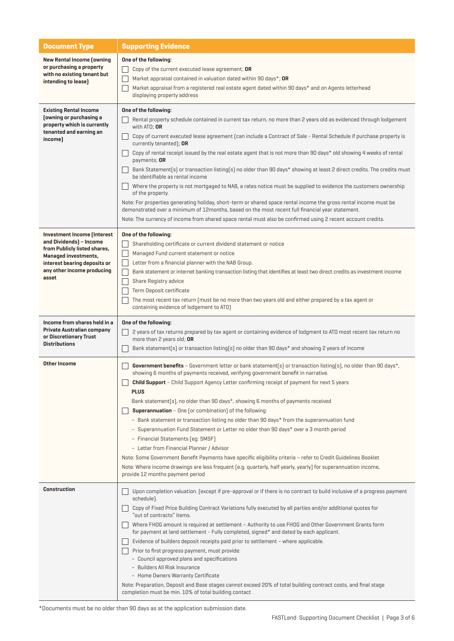| <b>Document Type</b>                                                                                                                                                                         | <b>Supporting Evidence</b>                                                                                                                                                                                                                                                                                                                                                                                                                                                                                                                                                                                                                                                                                                                                                                                                                                                                                                                                                                                                                                                                          |  |  |
|----------------------------------------------------------------------------------------------------------------------------------------------------------------------------------------------|-----------------------------------------------------------------------------------------------------------------------------------------------------------------------------------------------------------------------------------------------------------------------------------------------------------------------------------------------------------------------------------------------------------------------------------------------------------------------------------------------------------------------------------------------------------------------------------------------------------------------------------------------------------------------------------------------------------------------------------------------------------------------------------------------------------------------------------------------------------------------------------------------------------------------------------------------------------------------------------------------------------------------------------------------------------------------------------------------------|--|--|
| New Rental Income (owning<br>or purchasing a property<br>with no existing tenant but<br>intending to lease)                                                                                  | One of the following:<br>Copy of the current executed lease agreement; OR<br>Market appraisal contained in valuation dated within 90 days*; OR<br>Market appraisal from a registered real estate agent dated within 90 days* and on Agents letterhead<br>displaying property address                                                                                                                                                                                                                                                                                                                                                                                                                                                                                                                                                                                                                                                                                                                                                                                                                |  |  |
| <b>Existing Rental Income</b><br>[owning or purchasing a<br>property which is currently<br>tenanted and earning an<br>income)                                                                | One of the following:<br>Rental property schedule contained in current tax return, no more than 2 years old as evidenced through lodgement<br>with $ATO$ ; OR<br>Copy of current executed lease agreement [can include a Contract of Sale - Rental Schedule if purchase property is<br>currently tenanted]; OR<br>Copy of rental receipt issued by the real estate agent that is not more than 90 days* old showing 4 weeks of rental<br>payments; OR<br>Bank Statement(s) or transaction listing(s) no older than 90 days* showing at least 2 direct credits. The credits must<br>be identifiable as rental income<br>Where the property is not mortgaged to NAB, a rates notice must be supplied to evidence the customers ownership<br>of the property.<br>Note: For properties generating holiday, short-term or shared space rental income the gross rental income must be<br>demonstrated over a minimum of 12months, based on the most recent full financial year statement.<br>Note: The currency of income from shared space rental must also be confirmed using 2 recent account credits. |  |  |
| Investment Income (Interest<br>and Dividends) - Income<br>from Publicly listed shares,<br><b>Managed investments,</b><br>interest bearing deposits or<br>any other income producing<br>asset | One of the following:<br>Shareholding certificate or current dividend statement or notice<br>Managed Fund current statement or notice<br>Letter from a financial planner with the NAB Group.<br>Bank statement or internet banking transaction listing that identifies at least two direct credits as investment income<br>Share Registry advice<br>Term Deposit certificate<br>The most recent tax return (must be no more than two years old and either prepared by a tax agent or<br>containing evidence of lodgement to ATO)                                                                                                                                                                                                                                                                                                                                                                                                                                                                                                                                                                    |  |  |
| Income from shares held in a<br>Private Australian company<br>or Discretionary Trust<br><b>Distributions</b>                                                                                 | One of the following:<br>2 years of tax returns prepared by tax agent or containing evidence of lodgment to ATO most recent tax return no<br>more than 2 years old; OR<br>Bank statement(s) or transaction listing(s) no older than 90 days* and showing 2 years of income                                                                                                                                                                                                                                                                                                                                                                                                                                                                                                                                                                                                                                                                                                                                                                                                                          |  |  |
| Other Income                                                                                                                                                                                 | Government benefits - Government letter or bank statement(s) or transaction listing(s), no older than 90 days*,<br>showing 6 months of payments received, verifying government benefit in narrative.<br><b>Child Support</b> - Child Support Agency Letter confirming receipt of payment for next 5 years<br><b>PLUS</b><br>Bank statement(s), no older than 90 days*, showing 6 months of payments received<br><b>Superannuation</b> - One (or combination) of the following:<br>- Bank statement or transaction listing no older than 90 days* from the superannuation fund<br>- Superannuation Fund Statement or Letter no older than 90 days* over a 3 month period<br>- Financial Statements [eq: SMSF]<br>- Letter from Financial Planner / Advisor<br>Note: Some Government Benefit Payments have specific eligibility criteria - refer to Credit Guidelines Booklet<br>Note: Where income drawings are less frequent [e.g. quarterly, half yearly, yearly] for superannuation income,<br>provide 12 months payment period                                                                   |  |  |
| <b>Construction</b>                                                                                                                                                                          | Upon completion valuation. (except if pre-approval or if there is no contract to build inclusive of a progress payment<br>schedule).<br>Copy of Fixed Price Building Contract Variations fully executed by all parties and/or additional quotes for<br>"out of contracts" items.<br>Where FHOG amount is required at settlement - Authority to use FHOG and Other Government Grants form<br>for payment at land settlement - Fully completed, signed* and dated by each applicant.<br>Evidence of builders deposit receipts paid prior to settlement - where applicable.<br>Prior to first progress payment, must provide:<br>- Council approved plans and specifications<br>- Builders All Risk Insurance<br>- Home Owners Warranty Certificate<br>Note: Preparation, Deposit and Base stages cannot exceed 20% of total building contract costs, and final stage<br>completion must be min. 10% of total building contact                                                                                                                                                                         |  |  |

\*Documents must be no older than 90 days as at the application submission date.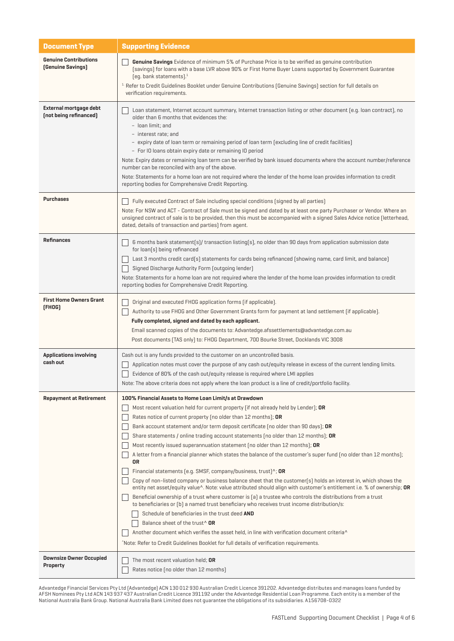| <b>Document Type</b>                                     | <b>Supporting Evidence</b>                                                                                                                                                                                                                                                                                                                                                                                                                                                                                                                                                                                                                                                                                                                                                                                                                                                                                                                                                                                                                                                                                                                                                                                                                                                                                                                                                                                                                                   |  |
|----------------------------------------------------------|--------------------------------------------------------------------------------------------------------------------------------------------------------------------------------------------------------------------------------------------------------------------------------------------------------------------------------------------------------------------------------------------------------------------------------------------------------------------------------------------------------------------------------------------------------------------------------------------------------------------------------------------------------------------------------------------------------------------------------------------------------------------------------------------------------------------------------------------------------------------------------------------------------------------------------------------------------------------------------------------------------------------------------------------------------------------------------------------------------------------------------------------------------------------------------------------------------------------------------------------------------------------------------------------------------------------------------------------------------------------------------------------------------------------------------------------------------------|--|
| <b>Genuine Contributions</b><br><b>(Genuine Savings)</b> | <b>Genuine Savings</b> Evidence of minimum 5% of Purchase Price is to be verified as genuine contribution<br>(savings) for loans with a base LVR above 90% or First Home Buyer Loans supported by Government Guarantee<br>$[eq.$ bank statements]. $1$<br><sup>1.</sup> Refer to Credit Guidelines Booklet under Genuine Contributions (Genuine Savings) section for full details on<br>verification requirements.                                                                                                                                                                                                                                                                                                                                                                                                                                                                                                                                                                                                                                                                                                                                                                                                                                                                                                                                                                                                                                           |  |
| External mortgage debt<br>(not being refinanced)         | Loan statement, Internet account summary, Internet transaction listing or other document (e.g. loan contract), no<br>older than 6 months that evidences the:<br>- loan limit; and<br>- interest rate: and<br>- expiry date of loan term or remaining period of loan term (excluding line of credit facilities)<br>- For IO loans obtain expiry date or remaining IO period<br>Note: Expiry dates or remaining loan term can be verified by bank issued documents where the account number/reference<br>number can be reconciled with any of the above.<br>Note: Statements for a home loan are not required where the lender of the home loan provides information to credit<br>reporting bodies for Comprehensive Credit Reporting.                                                                                                                                                                                                                                                                                                                                                                                                                                                                                                                                                                                                                                                                                                                         |  |
| <b>Purchases</b>                                         | Fully executed Contract of Sale including special conditions (signed by all parties)<br>Note: For NSW and ACT - Contract of Sale must be signed and dated by at least one party Purchaser or Vendor. Where an<br>unsigned contract of sale is to be provided, then this must be accompanied with a signed Sales Advice notice (letterhead,<br>dated, details of transaction and parties) from agent.                                                                                                                                                                                                                                                                                                                                                                                                                                                                                                                                                                                                                                                                                                                                                                                                                                                                                                                                                                                                                                                         |  |
| <b>Refinances</b>                                        | 6 months bank statement(s)/ transaction listing(s), no older than 90 days from application submission date<br>for loan[s] being refinanced<br>Last 3 months credit card(s) statements for cards being refinanced (showing name, card limit, and balance)<br>Signed Discharge Authority Form (outgoing lender)<br>Note: Statements for a home loan are not required where the lender of the home loan provides information to credit<br>reporting bodies for Comprehensive Credit Reporting.                                                                                                                                                                                                                                                                                                                                                                                                                                                                                                                                                                                                                                                                                                                                                                                                                                                                                                                                                                  |  |
| <b>First Home Owners Grant</b><br>[FHOG]                 | Original and executed FHOG application forms [if applicable].<br>Authority to use FHOG and Other Government Grants form for payment at land settlement (if applicable).<br>Fully completed, signed and dated by each applicant.<br>Email scanned copies of the documents to: Advantedge.afssettlements@advantedge.com.au<br>Post documents (TAS only) to: FHOG Department, 700 Bourke Street, Docklands VIC 3008                                                                                                                                                                                                                                                                                                                                                                                                                                                                                                                                                                                                                                                                                                                                                                                                                                                                                                                                                                                                                                             |  |
| <b>Applications involving</b><br>cash out                | Cash out is any funds provided to the customer on an uncontrolled basis.<br>Application notes must cover the purpose of any cash out/equity release in excess of the current lending limits.<br>Evidence of 80% of the cash out/equity release is required where LMI applies<br>Note: The above criteria does not apply where the loan product is a line of credit/portfolio facility.                                                                                                                                                                                                                                                                                                                                                                                                                                                                                                                                                                                                                                                                                                                                                                                                                                                                                                                                                                                                                                                                       |  |
| <b>Repayment at Retirement</b>                           | 100% Financial Assets to Home Loan Limit/s at Drawdown<br>Most recent valuation held for current property (if not already held by Lender); OR<br>Rates notice of current property (no older than 12 months); <b>OR</b><br>Bank account statement and/or term deposit certificate (no older than 90 days); OR<br>Share statements / online trading account statements (no older than 12 months); OR<br>Most recently issued superannuation statement (no older than 12 months); OR<br>A letter from a financial planner which states the balance of the customer's super fund (no older than 12 months);<br>0R<br>Financial statements [e.g. SMSF, company/business, trust] $\wedge$ ; OR<br>Copy of non-listed company or business balance sheet that the customer(s) holds an interest in, which shows the<br>entity net asset/equity value^. Note: value attributed should align with customer's entitlement i.e. % of ownership; OR<br>Beneficial ownership of a trust where customer is [a] a trustee who controls the distributions from a trust<br>to beneficiaries or [b] a named trust beneficiary who receives trust income distribution/s:<br>Schedule of beneficiaries in the trust deed AND<br>Balance sheet of the trust <sup>^</sup> OR<br>Another document which verifies the asset held, in line with verification document criteria <sup>^</sup><br>Note: Refer to Credit Guidelines Booklet for full details of verification requirements. |  |
| <b>Downsize Owner Occupied</b><br><b>Property</b>        | The most recent valuation held; OR<br>Rates notice (no older than 12 months)                                                                                                                                                                                                                                                                                                                                                                                                                                                                                                                                                                                                                                                                                                                                                                                                                                                                                                                                                                                                                                                                                                                                                                                                                                                                                                                                                                                 |  |

Advantedge Financial Services Pty Ltd (Advantedge) ACN 130 012 930 Australian Credit Licence 391202. Advantedge distributes and manages loans funded by AFSH Nominees Pty Ltd ACN 143 937 437 Australian Credit Licence 391192 under the Advantedge Residential Loan Programme. Each entity is a member of the National Australia Bank Group. National Australia Bank Limited does not guarantee the obligations of its subsidiaries. A156708-0322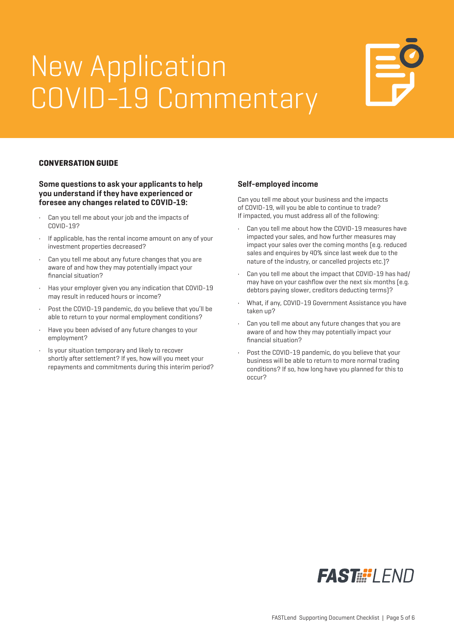# New Application COVID-19 Commentary



#### **CONVERSATION GUIDE**

#### **Some questions to ask your applicants to help you understand if they have experienced or foresee any changes related to COVID-19:**

- Can you tell me about your job and the impacts of COVID-19?
- If applicable, has the rental income amount on any of your investment properties decreased?
- Can you tell me about any future changes that you are aware of and how they may potentially impact your financial situation?
- Has your employer given you any indication that COVID-19 may result in reduced hours or income?
- Post the COVID-19 pandemic, do you believe that you'll be able to return to your normal employment conditions?
- Have you been advised of any future changes to your employment?
- Is your situation temporary and likely to recover shortly after settlement? If yes, how will you meet your repayments and commitments during this interim period?

#### **Self-employed income**

Can you tell me about your business and the impacts of COVID-19, will you be able to continue to trade? If impacted, you must address all of the following:

- Can you tell me about how the COVID-19 measures have impacted your sales, and how further measures may impact your sales over the coming months (e.g. reduced sales and enquires by 40% since last week due to the nature of the industry, or cancelled projects etc.)?
- Can you tell me about the impact that COVID-19 has had/ may have on your cashflow over the next six months (e.g. debtors paying slower, creditors deducting terms)?
- What, if any, COVID-19 Government Assistance you have taken up?
- Can you tell me about any future changes that you are aware of and how they may potentially impact your financial situation?
- Post the COVID-19 pandemic, do you believe that your business will be able to return to more normal trading conditions? If so, how long have you planned for this to occur?